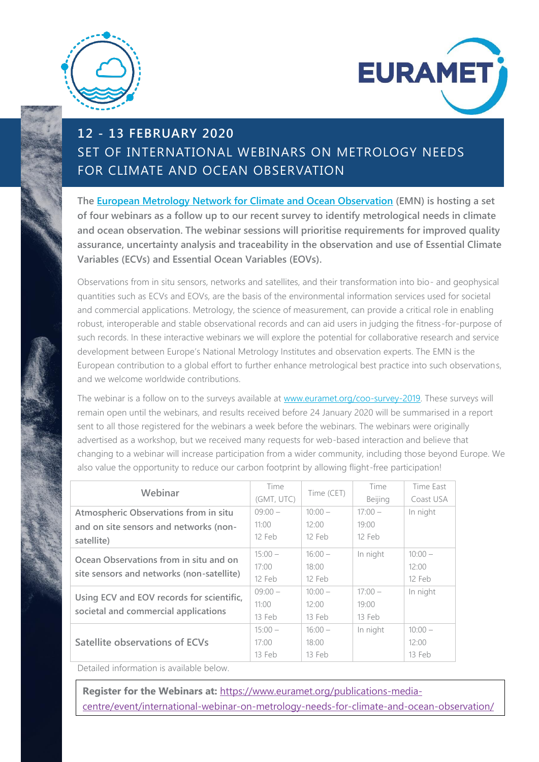



## **12 - 13 FEBRUARY 2020** SET OF INTERNATIONAL WEBINARS ON METROLOGY NEEDS FOR CLIMATE AND OCEAN OBSERVATION

**The [European Metrology Network for Climate and Ocean Observation](https://www.euramet.org/european-metrology-networks/climate-and-ocean-observation/) (EMN) is hosting a set of four webinars as a follow up to our recent survey to identify metrological needs in climate and ocean observation. The webinar sessions will prioritise requirements for improved quality assurance, uncertainty analysis and traceability in the observation and use of Essential Climate Variables (ECVs) and Essential Ocean Variables (EOVs).**

Observations from in situ sensors, networks and satellites, and their transformation into bio- and geophysical quantities such as ECVs and EOVs, are the basis of the environmental information services used for societal and commercial applications. Metrology, the science of measurement, can provide a critical role in enabling robust, interoperable and stable observational records and can aid users in judging the fitness-for-purpose of such records. In these interactive webinars we will explore the potential for collaborative research and service development between Europe's National Metrology Institutes and observation experts. The EMN is the European contribution to a global effort to further enhance metrological best practice into such observations, and we welcome worldwide contributions.

The webinar is a follow on to the surveys available at [www.euramet.org/coo-survey-2019.](http://www.euramet.org/coo-survey-2019) These surveys will remain open until the webinars, and results received before 24 January 2020 will be summarised in a report sent to all those registered for the webinars a week before the webinars. The webinars were originally advertised as a workshop, but we received many requests for web-based interaction and believe that changing to a webinar will increase participation from a wider community, including those beyond Europe. We also value the opportunity to reduce our carbon footprint by allowing flight-free participation!

| Webinar                                   | Time       | Time (CET) | Time      | Time East |
|-------------------------------------------|------------|------------|-----------|-----------|
|                                           | (GMT, UTC) |            | Beijing   | Coast USA |
| Atmospheric Observations from in situ     | $09:00-$   | $10:00 -$  | $17:00 -$ | In night  |
| and on site sensors and networks (non-    | 11:00      | 12:00      | 19:00     |           |
| satellite)                                | 12 Feb     | 12 Feb     | 12 Feb    |           |
| Ocean Observations from in situ and on    | $15:00 -$  | $16:00 -$  | In night  | $10:00 -$ |
|                                           | 17:00      | 18:00      |           | 12:00     |
| site sensors and networks (non-satellite) | 12 Feb     | 12 Feb     |           | 12 Feb    |
| Using ECV and EOV records for scientific, | $09:00-$   | $10:00 -$  | $17:00 -$ | In night  |
|                                           | 11:00      | 12:00      | 19:00     |           |
| societal and commercial applications      | $13$ Feb   | $13$ Feb   | $13$ Feb  |           |
|                                           | $15:00 -$  | $16:00 -$  | In night  | $10:00 -$ |
| Satellite observations of ECVs            | 17:00      | 18:00      |           | 12:00     |
|                                           | 13 Feb     | 13 Feb     |           | 13 Feb    |

Detailed information is available below.

**Register for the Webinars at:** [https://www.euramet.org/publications-media](https://www.euramet.org/publications-media-centre/event/international-webinar-on-metrology-needs-for-climate-and-ocean-observation/)[centre/event/international-webinar-on-metrology-needs-for-climate-and-ocean-observation/](https://www.euramet.org/publications-media-centre/event/international-webinar-on-metrology-needs-for-climate-and-ocean-observation/)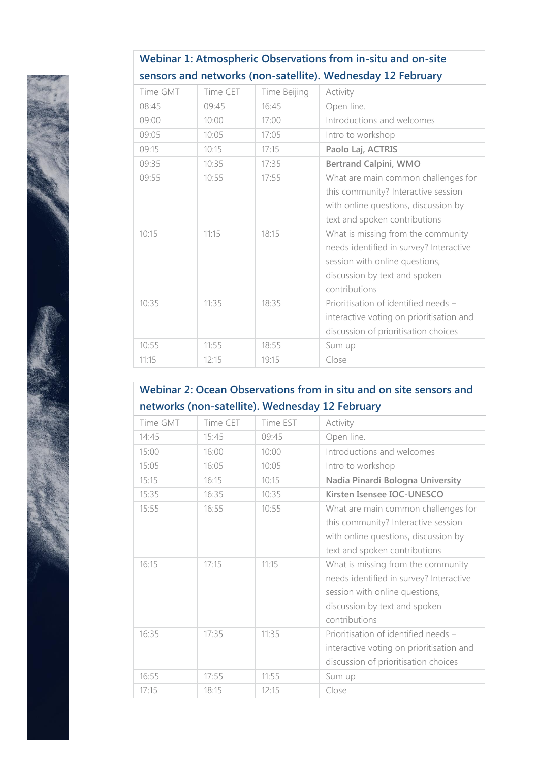| sensors and networks (non-satellite). Wednesday 12 February |          |              |                                                                                                                                                                   |
|-------------------------------------------------------------|----------|--------------|-------------------------------------------------------------------------------------------------------------------------------------------------------------------|
| Time GMT                                                    | Time CET | Time Beijing | Activity                                                                                                                                                          |
| 08:45                                                       | 09:45    | 16:45        | Open line.                                                                                                                                                        |
| 09:00                                                       | 10:00    | 17:00        | Introductions and welcomes                                                                                                                                        |
| 09:05                                                       | 10:05    | 17:05        | Intro to workshop                                                                                                                                                 |
| 09:15                                                       | 10:15    | 17:15        | Paolo Laj, ACTRIS                                                                                                                                                 |
| 09:35                                                       | 10:35    | 17:35        | <b>Bertrand Calpini, WMO</b>                                                                                                                                      |
| 09:55                                                       | 10:55    | 17:55        | What are main common challenges for<br>this community? Interactive session<br>with online questions, discussion by<br>text and spoken contributions               |
| 10:15                                                       | 11:15    | 18:15        | What is missing from the community<br>needs identified in survey? Interactive<br>session with online questions,<br>discussion by text and spoken<br>contributions |
| 10:35                                                       | 11:35    | 18:35        | Prioritisation of identified needs -<br>interactive voting on prioritisation and<br>discussion of prioritisation choices                                          |
| 10:55                                                       | 11:55    | 18:55        | Sum up                                                                                                                                                            |
| 11:15                                                       | 12:15    | 19:15        | Close                                                                                                                                                             |

## **Webinar 1: Atmospheric Observations from in-situ and on-site**

## **Webinar 2: Ocean Observations from in situ and on site sensors and networks (non-satellite). Wednesday 12 February**

| Time GMT | Time CET | Time EST | Activity                                                                                                                                                          |
|----------|----------|----------|-------------------------------------------------------------------------------------------------------------------------------------------------------------------|
| 14:45    | 15:45    | 09:45    | Open line.                                                                                                                                                        |
| 15:00    | 16:00    | 10:00    | Introductions and welcomes                                                                                                                                        |
| 15:05    | 16:05    | 10:05    | Intro to workshop                                                                                                                                                 |
| 15:15    | 16:15    | 10:15    | Nadia Pinardi Bologna University                                                                                                                                  |
| 15:35    | 16:35    | 10:35    | Kirsten Isensee IOC-UNESCO                                                                                                                                        |
| 15:55    | 16:55    | 10:55    | What are main common challenges for<br>this community? Interactive session<br>with online questions, discussion by<br>text and spoken contributions               |
| 16:15    | 17:15    | 11:15    | What is missing from the community<br>needs identified in survey? Interactive<br>session with online questions,<br>discussion by text and spoken<br>contributions |
| 16:35    | 17:35    | 11:35    | Prioritisation of identified needs -<br>interactive voting on prioritisation and<br>discussion of prioritisation choices                                          |
| 16:55    | 17:55    | 11:55    | Sum up                                                                                                                                                            |
| 17:15    | 18:15    | 12:15    | Close                                                                                                                                                             |